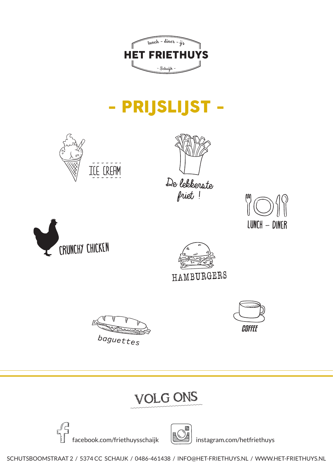

# - PRIJSLIJST -

















## VOLG ONS





SCHUTSBOOMSTRAAT 2 / 5374 CC SCHAIJK / 0486-461438 / INFO@HET-FRIETHUYS.NL / WWW.HET-FRIETHUYS.NL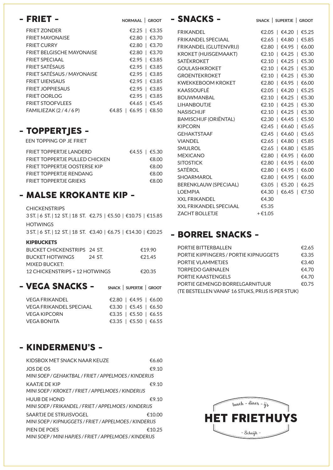| - FRIET -                         | NORMAAL   GROOT                |
|-----------------------------------|--------------------------------|
| <b>FRIET ZONDER</b>               | €2.25   €3.35                  |
| <b>FRIET MAYONAISE</b>            | €2.80   €3.70                  |
| <b>FRIET CURRY</b>                | €2.80   €3.70                  |
| <b>FRIET BELGISCHE MAYONAISE</b>  | €2.80   €3.70                  |
| FRIFT SPECIAAL                    | €2.95   €3.85                  |
| <b>FRIET SATÉSAUS</b>             | €2.95   €3.85                  |
| <b>FRIET SATÉSAUS / MAYONAISE</b> | €2.95   €3.85                  |
| <b>FRIET UIENSAUS</b>             | €2.95   €3.85                  |
| <b>FRIET JOPPIESAUS</b>           | €2.95   €3.85                  |
| <b>FRIET OORLOG</b>               | €2.95   €3.85                  |
| <b>FRIET STOOFVLEES</b>           | €4.65   €5.45                  |
| FAMILIEZAK (2/4/6P)               | €6.95   €8.50<br>€4.85 $\vert$ |

#### - TOPPERTJES -

een topping op je friet

| FRIFT TOPPFRTJF LANDFRD             | €4.55   €5.30 |
|-------------------------------------|---------------|
| FRIFT TOPPFRTJF PULLED CHICKEN      | €8.00         |
| <b>FRIET TOPPERTJE OOSTERSF KIP</b> | €8.00         |
| <b>FRIFT TOPPERTJF RENDANG</b>      | €8.00         |
| <b>FRIFT TOPPERTJF GRIFKS</b>       | €8.00         |

#### - MALSE KROKANTE KIP -

**CHICKENSTRIPS** 

3 ST. | 6 ST. | 12 ST. | 18 ST. €2.75 | €5.50 | €10.75 | €15.85 **HOTWINGS** 

3 ST. | 6 ST. | 12 ST. | 18 ST. €3.40 | €6.75 | €14.30 | €20.25

#### **KIPBUCKETS**

| RUCKET CHICKENSTRIPS 24 ST     |        | £1990  |
|--------------------------------|--------|--------|
| BUCKET HOTWINGS                | 24 ST. | €2145  |
| MIXED BUCKET:                  |        |        |
| 12 CHICKENSTRIPS + 12 HOTWINGS |        | €20.35 |

| - VEGA SNACKS -         | SNACK   SUPERTJE   GROOT | PORTIE GEMENGD BORRELGARNITUUR<br>(TE BESTELLEN VANAF 16 STUKS, PRIJS IS PER STUK) |
|-------------------------|--------------------------|------------------------------------------------------------------------------------|
| VEGA FRIKANDEL          | €2.80   €4.95   €6.00    |                                                                                    |
| VEGA FRIKANDEL SPECIAAL | €3.30   €5.45   €6.50    |                                                                                    |
| VEGA KIPCORN            | €3.35   €5.50   €6.55    |                                                                                    |
| VEGA BONITA             | €3.35   €5.50   €6.55    |                                                                                    |

### - KINDERMENU'S -

| KIDSBOX MET SNACK NAAR KEUZE                            | €6.60  |
|---------------------------------------------------------|--------|
| JOS DE OS                                               | €9.10  |
| MINI SOEP / GEHAKTBAL / FRIET / APPELMOES / KINDERIJS   |        |
| KAATJF DF KIP                                           | €9.10  |
| MINI SOEP / KROKET / FRIET / APPELMOES / KINDERIJS      |        |
| <b>HUUB DE HOND</b>                                     | €9.10  |
| MINI SOEP / FRIKANDEL / FRIET / APPELMOES / KINDERIJS   |        |
| SAARTJF DE STRUISVOGEL                                  | €10.00 |
| MINI SOEP / KIPNUGGETS / FRIET / APPELMOES / KINDERIJS  |        |
| PIFN DF POFS                                            | €10.25 |
| MINI SOEP / MINI HAPJES / FRIET / APPELMOES / KINDERIJS |        |

| - SNACKS -                    | SNACK   SUPERTJE   GROOT |
|-------------------------------|--------------------------|
| <b>FRIKANDEL</b>              | €2.05   €4.20   €5.25    |
| FRIKANDEI SPECIAAI            | €2.65   €4.80   €5.85    |
| FRIKANDEL (GLUTENVRIJ)        | €2.80   €4.95   €6.00    |
| <b>KROKET (HUISGEMAAKT)</b>   | €2.10   €4.25   €5.30    |
| <b>SATÉKROKET</b>             | €2.10   €4.25   €5.30    |
| <b>GOUI ASHKROKFT</b>         | €2.10   €4.25   €5.30    |
| <b>GROFNTFKROKFT</b>          | €2.10   €4.25   €5.30    |
| <b>KWFKKFBOOM KROKFT</b>      | €2.80   €4.95   €6.00    |
| KAASSOUFI É                   | €2.05   €4.20   €5.25    |
| <b>BOUWMANBAL</b>             | €2.10   €4.25   €5.30    |
| <b>LIHANROUTIE</b>            | €2.10   €4.25   €5.30    |
| <b>NASISCHIJF</b>             | €2.10   €4.25   €5.30    |
| <b>BAMISCHIJF (ORIËNTAL)</b>  | €2.30   €4.45   €5.50    |
| <b>KIPCORN</b>                | €2.45   €4.60   €5.65    |
| <b>GFHAKTSTAAF</b>            | €2.45   €4.60   €5.65    |
| <b>VIANDEL</b>                | €2.65   €4.80   €5.85    |
| SMULROL                       | €2.65   €4.80   €5.85    |
| <b>MFXICANO</b>               | €2.80   €4.95   €6.00    |
| <b>SITOSTICK</b>              | €2.80   €4.95   €6.00    |
| SATÉROL                       | €2.80   €4.95   €6.00    |
| <b>SHOARMAROL</b>             | €2.80   €4.95   €6.00    |
| <b>BERENKLAUW (SPECIAAL)</b>  | €3.05   €5.20   €6.25    |
| <b>I OFMPIA</b>               | €4.30   €6.45   €7.50    |
| <b>XXI FRIKANDEI</b>          | €4.30                    |
| <b>XXL FRIKANDEL SPECIAAL</b> | €5.35                    |
| <b>ZACHT BOLLETJE</b>         | $+€1.05$                 |

#### - BORREL SNACKS -

| PORTIE BITTERBALLEN                              | €2.65 |
|--------------------------------------------------|-------|
| <b>PORTIE KIPFINGERS / PORTIE KIPNUGGETS</b>     | €3.35 |
| PORTIE VLAMMETJES                                | €3.40 |
| <b>TORPEDO GARNALEN</b>                          | €4.70 |
| PORTIF KAASTENGELS                               | €4.70 |
| PORTIE GEMENGD BORRELGARNITUUR                   | €0.75 |
| (TE BESTELLEN VANAF 16 STUKS, PRIJS IS PER STUK) |       |